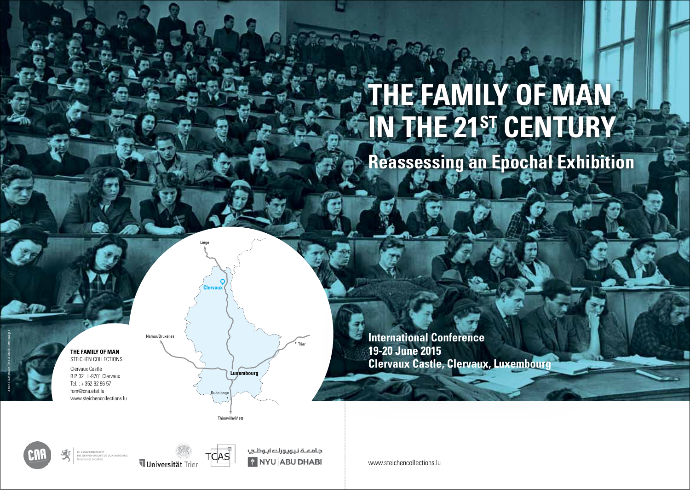# **The Family of Man in the 21st Century**

**Reassessing an Epochal Exhibition**

Alfred Eisenstaedt, Time & Life © Getty Images

**The Family of Man** Steichen Collections Clervaux Castle B.P. 32 L-9701 Clervaux Tel. : + 352 92 96 57 fom@cna.etat.lu

www.steichencollections.lu



**Clervaux**

Liège

**International Conference 19-20 June 2015 Clervaux Castle, Clervaux, Luxembourg**



LE GOUVERNEMENT<br>DU GRAND-DUCHÉ DE LUXEMBOURG





جامعــة نـيويورك ابـوظـسِ **PINYU ABU DHABI** 

www.steichencollections.lu